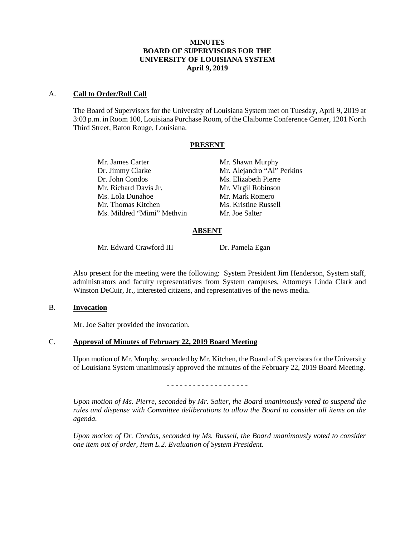# **MINUTES BOARD OF SUPERVISORS FOR THE UNIVERSITY OF LOUISIANA SYSTEM April 9, 2019**

### A. **Call to Order/Roll Call**

The Board of Supervisors for the University of Louisiana System met on Tuesday, April 9, 2019 at 3:03 p.m. in Room 100, Louisiana Purchase Room, of the Claiborne Conference Center, 1201 North Third Street, Baton Rouge, Louisiana.

## **PRESENT**

Mr. James Carter Mr. Shawn Murphy Dr. Jimmy Clarke Mr. Alejandro "Al" Perkins Dr. John Condos Ms. Elizabeth Pierre Mr. Richard Davis Jr. Mr. Virgil Robinson Ms. Lola Dunahoe Mr. Mark Romero Mr. Thomas Kitchen Ms. Kristine Russell Ms. Mildred "Mimi" Methvin Mr. Joe Salter

# **ABSENT**

Mr. Edward Crawford III Dr. Pamela Egan

Also present for the meeting were the following: System President Jim Henderson, System staff, administrators and faculty representatives from System campuses, Attorneys Linda Clark and Winston DeCuir, Jr., interested citizens, and representatives of the news media.

### B. **Invocation**

Mr. Joe Salter provided the invocation.

### C. **Approval of Minutes of February 22, 2019 Board Meeting**

Upon motion of Mr. Murphy, seconded by Mr. Kitchen, the Board of Supervisors for the University of Louisiana System unanimously approved the minutes of the February 22, 2019 Board Meeting.

- - - - - - - - - - - - - - - - - - -

*Upon motion of Ms. Pierre, seconded by Mr. Salter, the Board unanimously voted to suspend the rules and dispense with Committee deliberations to allow the Board to consider all items on the agenda.*

*Upon motion of Dr. Condos, seconded by Ms. Russell, the Board unanimously voted to consider one item out of order, Item L.2. Evaluation of System President.*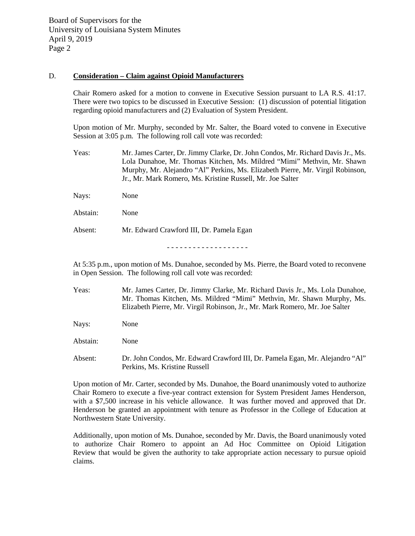## D. **Consideration – Claim against Opioid Manufacturers**

Chair Romero asked for a motion to convene in Executive Session pursuant to LA R.S. 41:17. There were two topics to be discussed in Executive Session: (1) discussion of potential litigation regarding opioid manufacturers and (2) Evaluation of System President.

Upon motion of Mr. Murphy, seconded by Mr. Salter, the Board voted to convene in Executive Session at 3:05 p.m. The following roll call vote was recorded:

Yeas: Mr. James Carter, Dr. Jimmy Clarke, Dr. John Condos, Mr. Richard Davis Jr., Ms. Lola Dunahoe, Mr. Thomas Kitchen, Ms. Mildred "Mimi" Methvin, Mr. Shawn Murphy, Mr. Alejandro "Al" Perkins, Ms. Elizabeth Pierre, Mr. Virgil Robinson, Jr., Mr. Mark Romero, Ms. Kristine Russell, Mr. Joe Salter

| Nays:    | None                                     |
|----------|------------------------------------------|
| Abstain: | None                                     |
| Absent:  | Mr. Edward Crawford III, Dr. Pamela Egan |

- - - - - - - - - - - - - - - - - - -

At 5:35 p.m., upon motion of Ms. Dunahoe, seconded by Ms. Pierre, the Board voted to reconvene in Open Session. The following roll call vote was recorded:

- Yeas: Mr. James Carter, Dr. Jimmy Clarke, Mr. Richard Davis Jr., Ms. Lola Dunahoe, Mr. Thomas Kitchen, Ms. Mildred "Mimi" Methvin, Mr. Shawn Murphy, Ms. Elizabeth Pierre, Mr. Virgil Robinson, Jr., Mr. Mark Romero, Mr. Joe Salter
- Nays: None
- Abstain: None
- Absent: Dr. John Condos, Mr. Edward Crawford III, Dr. Pamela Egan, Mr. Alejandro "Al" Perkins, Ms. Kristine Russell

Upon motion of Mr. Carter, seconded by Ms. Dunahoe, the Board unanimously voted to authorize Chair Romero to execute a five-year contract extension for System President James Henderson, with a \$7,500 increase in his vehicle allowance. It was further moved and approved that Dr. Henderson be granted an appointment with tenure as Professor in the College of Education at Northwestern State University.

Additionally, upon motion of Ms. Dunahoe, seconded by Mr. Davis, the Board unanimously voted to authorize Chair Romero to appoint an Ad Hoc Committee on Opioid Litigation Review that would be given the authority to take appropriate action necessary to pursue opioid claims.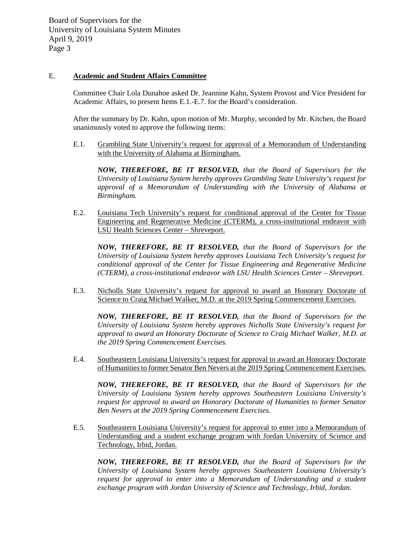# E. **Academic and Student Affairs Committee**

Committee Chair Lola Dunahoe asked Dr. Jeannine Kahn, System Provost and Vice President for Academic Affairs, to present Items E.1.-E.7. for the Board's consideration.

After the summary by Dr. Kahn, upon motion of Mr. Murphy, seconded by Mr. Kitchen, the Board unanimously voted to approve the following items:

E.1. Grambling State University's request for approval of a Memorandum of Understanding with the University of Alabama at Birmingham.

*NOW, THEREFORE, BE IT RESOLVED, that the Board of Supervisors for the University of Louisiana System hereby approves Grambling State University's request for approval of a Memorandum of Understanding with the University of Alabama at Birmingham.*

E.2. Louisiana Tech University's request for conditional approval of the Center for Tissue Engineering and Regenerative Medicine (CTERM), a cross-institutional endeavor with LSU Health Sciences Center – Shreveport.

*NOW, THEREFORE, BE IT RESOLVED, that the Board of Supervisors for the University of Louisiana System hereby approves Louisiana Tech University's request for conditional approval of the Center for Tissue Engineering and Regenerative Medicine (CTERM), a cross-institutional endeavor with LSU Health Sciences Center – Shreveport.*

E.3. Nicholls State University's request for approval to award an Honorary Doctorate of Science to Craig Michael Walker, M.D. at the 2019 Spring Commencement Exercises.

*NOW, THEREFORE, BE IT RESOLVED, that the Board of Supervisors for the University of Louisiana System hereby approves Nicholls State University's request for approval to award an Honorary Doctorate of Science to Craig Michael Walker, M.D. at the 2019 Spring Commencement Exercises.*

E.4. Southeastern Louisiana University's request for approval to award an Honorary Doctorate of Humanities to former Senator Ben Nevers at the 2019 Spring Commencement Exercises.

*NOW, THEREFORE, BE IT RESOLVED, that the Board of Supervisors for the University of Louisiana System hereby approves Southeastern Louisiana University's request for approval to award an Honorary Doctorate of Humanities to former Senator Ben Nevers at the 2019 Spring Commencement Exercises.*

E.5. Southeastern Louisiana University's request for approval to enter into a Memorandum of Understanding and a student exchange program with Jordan University of Science and Technology, Irbid, Jordan.

*NOW, THEREFORE, BE IT RESOLVED, that the Board of Supervisors for the University of Louisiana System hereby approves Southeastern Louisiana University's request for approval to enter into a Memorandum of Understanding and a student exchange program with Jordan University of Science and Technology, Irbid, Jordan.*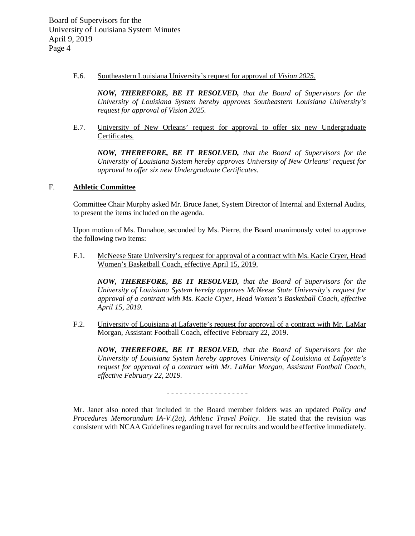E.6. Southeastern Louisiana University's request for approval of *Vision 2025*.

*NOW, THEREFORE, BE IT RESOLVED, that the Board of Supervisors for the University of Louisiana System hereby approves Southeastern Louisiana University's request for approval of Vision 2025.*

E.7. University of New Orleans' request for approval to offer six new Undergraduate Certificates.

*NOW, THEREFORE, BE IT RESOLVED, that the Board of Supervisors for the University of Louisiana System hereby approves University of New Orleans' request for approval to offer six new Undergraduate Certificates.* 

## F. **Athletic Committee**

Committee Chair Murphy asked Mr. Bruce Janet, System Director of Internal and External Audits, to present the items included on the agenda.

Upon motion of Ms. Dunahoe, seconded by Ms. Pierre, the Board unanimously voted to approve the following two items:

F.1. McNeese State University's request for approval of a contract with Ms. Kacie Cryer, Head Women's Basketball Coach, effective April 15, 2019.

*NOW, THEREFORE, BE IT RESOLVED, that the Board of Supervisors for the University of Louisiana System hereby approves McNeese State University's request for approval of a contract with Ms. Kacie Cryer, Head Women's Basketball Coach, effective April 15, 2019.*

F.2. University of Louisiana at Lafayette's request for approval of a contract with Mr. LaMar Morgan, Assistant Football Coach, effective February 22, 2019.

*NOW, THEREFORE, BE IT RESOLVED, that the Board of Supervisors for the University of Louisiana System hereby approves University of Louisiana at Lafayette's request for approval of a contract with Mr. LaMar Morgan, Assistant Football Coach, effective February 22, 2019.*

- - - - - - - - - - - - - - - - - - -

Mr. Janet also noted that included in the Board member folders was an updated *Policy and Procedures Memorandum IA-V.(2a), Athletic Travel Policy.* He stated that the revision was consistent with NCAA Guidelines regarding travel for recruits and would be effective immediately.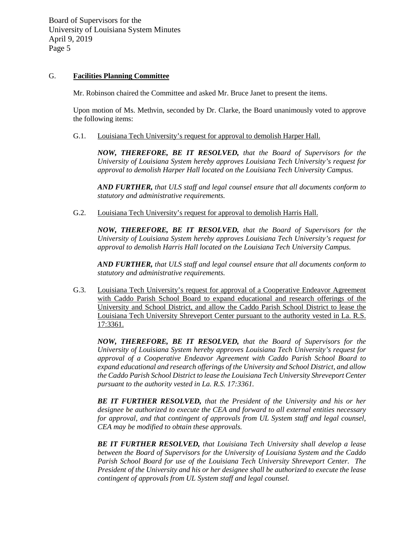## G. **Facilities Planning Committee**

Mr. Robinson chaired the Committee and asked Mr. Bruce Janet to present the items.

Upon motion of Ms. Methvin, seconded by Dr. Clarke, the Board unanimously voted to approve the following items:

G.1. Louisiana Tech University's request for approval to demolish Harper Hall.

*NOW, THEREFORE, BE IT RESOLVED, that the Board of Supervisors for the University of Louisiana System hereby approves Louisiana Tech University's request for approval to demolish Harper Hall located on the Louisiana Tech University Campus.* 

*AND FURTHER, that ULS staff and legal counsel ensure that all documents conform to statutory and administrative requirements.*

G.2. Louisiana Tech University's request for approval to demolish Harris Hall.

*NOW, THEREFORE, BE IT RESOLVED, that the Board of Supervisors for the University of Louisiana System hereby approves Louisiana Tech University's request for approval to demolish Harris Hall located on the Louisiana Tech University Campus.*

*AND FURTHER, that ULS staff and legal counsel ensure that all documents conform to statutory and administrative requirements.*

G.3. Louisiana Tech University's request for approval of a Cooperative Endeavor Agreement with Caddo Parish School Board to expand educational and research offerings of the University and School District, and allow the Caddo Parish School District to lease the Louisiana Tech University Shreveport Center pursuant to the authority vested in La. R.S. 17:3361.

*NOW, THEREFORE, BE IT RESOLVED, that the Board of Supervisors for the University of Louisiana System hereby approves Louisiana Tech University's request for approval of a Cooperative Endeavor Agreement with Caddo Parish School Board to expand educational and research offerings of the University and School District, and allow the Caddo Parish School District to lease the Louisiana Tech University Shreveport Center pursuant to the authority vested in La. R.S. 17:3361.*

*BE IT FURTHER RESOLVED, that the President of the University and his or her designee be authorized to execute the CEA and forward to all external entities necessary for approval, and that contingent of approvals from UL System staff and legal counsel, CEA may be modified to obtain these approvals.*

*BE IT FURTHER RESOLVED, that Louisiana Tech University shall develop a lease between the Board of Supervisors for the University of Louisiana System and the Caddo Parish School Board for use of the Louisiana Tech University Shreveport Center. The President of the University and his or her designee shall be authorized to execute the lease contingent of approvals from UL System staff and legal counsel.*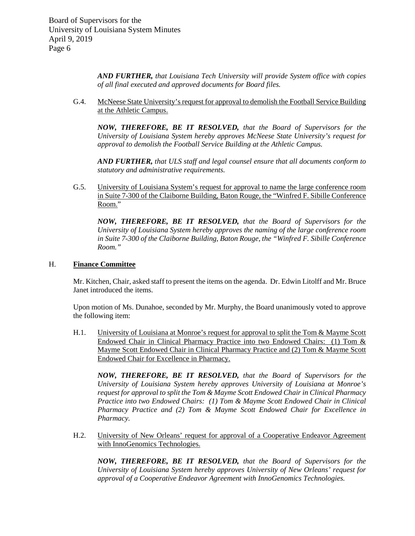*AND FURTHER, that Louisiana Tech University will provide System office with copies of all final executed and approved documents for Board files.*

G.4. McNeese State University's request for approval to demolish the Football Service Building at the Athletic Campus.

*NOW, THEREFORE, BE IT RESOLVED, that the Board of Supervisors for the University of Louisiana System hereby approves McNeese State University's request for approval to demolish the Football Service Building at the Athletic Campus.*

*AND FURTHER, that ULS staff and legal counsel ensure that all documents conform to statutory and administrative requirements.*

G.5. University of Louisiana System's request for approval to name the large conference room in Suite 7-300 of the Claiborne Building, Baton Rouge, the "Winfred F. Sibille Conference Room."

*NOW, THEREFORE, BE IT RESOLVED, that the Board of Supervisors for the University of Louisiana System hereby approves the naming of the large conference room in Suite 7-300 of the Claiborne Building, Baton Rouge, the "Winfred F. Sibille Conference Room."*

# H. **Finance Committee**

Mr. Kitchen, Chair, asked staff to present the items on the agenda. Dr. Edwin Litolff and Mr. Bruce Janet introduced the items.

Upon motion of Ms. Dunahoe, seconded by Mr. Murphy, the Board unanimously voted to approve the following item:

H.1. University of Louisiana at Monroe's request for approval to split the Tom & Mayme Scott Endowed Chair in Clinical Pharmacy Practice into two Endowed Chairs: (1) Tom & Mayme Scott Endowed Chair in Clinical Pharmacy Practice and (2) Tom & Mayme Scott Endowed Chair for Excellence in Pharmacy.

*NOW, THEREFORE, BE IT RESOLVED, that the Board of Supervisors for the University of Louisiana System hereby approves University of Louisiana at Monroe's request for approval to split the Tom & Mayme Scott Endowed Chair in Clinical Pharmacy Practice into two Endowed Chairs: (1) Tom & Mayme Scott Endowed Chair in Clinical Pharmacy Practice and (2) Tom & Mayme Scott Endowed Chair for Excellence in Pharmacy.* 

H.2. University of New Orleans' request for approval of a Cooperative Endeavor Agreement with InnoGenomics Technologies.

*NOW, THEREFORE, BE IT RESOLVED, that the Board of Supervisors for the University of Louisiana System hereby approves University of New Orleans' request for approval of a Cooperative Endeavor Agreement with InnoGenomics Technologies.*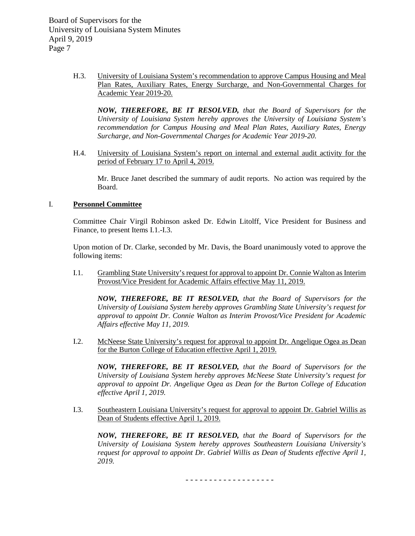> H.3. University of Louisiana System's recommendation to approve Campus Housing and Meal Plan Rates, Auxiliary Rates, Energy Surcharge, and Non-Governmental Charges for Academic Year 2019-20.

*NOW, THEREFORE, BE IT RESOLVED, that the Board of Supervisors for the University of Louisiana System hereby approves the University of Louisiana System's recommendation for Campus Housing and Meal Plan Rates, Auxiliary Rates, Energy Surcharge, and Non-Governmental Charges for Academic Year 2019-20.*

H.4. University of Louisiana System's report on internal and external audit activity for the period of February 17 to April 4, 2019.

Mr. Bruce Janet described the summary of audit reports. No action was required by the Board.

## I. **Personnel Committee**

Committee Chair Virgil Robinson asked Dr. Edwin Litolff, Vice President for Business and Finance, to present Items I.1.-I.3.

Upon motion of Dr. Clarke, seconded by Mr. Davis, the Board unanimously voted to approve the following items:

I.1. Grambling State University's request for approval to appoint Dr. Connie Walton as Interim Provost/Vice President for Academic Affairs effective May 11, 2019.

*NOW, THEREFORE, BE IT RESOLVED, that the Board of Supervisors for the University of Louisiana System hereby approves Grambling State University's request for approval to appoint Dr. Connie Walton as Interim Provost/Vice President for Academic Affairs effective May 11, 2019.*

I.2. McNeese State University's request for approval to appoint Dr. Angelique Ogea as Dean for the Burton College of Education effective April 1, 2019.

*NOW, THEREFORE, BE IT RESOLVED, that the Board of Supervisors for the University of Louisiana System hereby approves McNeese State University's request for approval to appoint Dr. Angelique Ogea as Dean for the Burton College of Education effective April 1, 2019.*

I.3. Southeastern Louisiana University's request for approval to appoint Dr. Gabriel Willis as Dean of Students effective April 1, 2019.

*NOW, THEREFORE, BE IT RESOLVED, that the Board of Supervisors for the University of Louisiana System hereby approves Southeastern Louisiana University's request for approval to appoint Dr. Gabriel Willis as Dean of Students effective April 1, 2019.*

- - - - - - - - - - - - - - - - - - -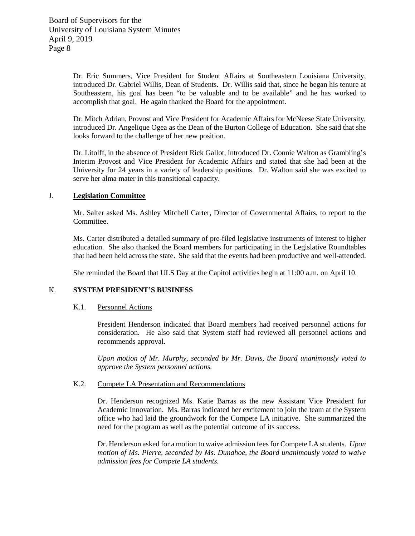Dr. Eric Summers, Vice President for Student Affairs at Southeastern Louisiana University, introduced Dr. Gabriel Willis, Dean of Students. Dr. Willis said that, since he began his tenure at Southeastern, his goal has been "to be valuable and to be available" and he has worked to accomplish that goal. He again thanked the Board for the appointment.

Dr. Mitch Adrian, Provost and Vice President for Academic Affairs for McNeese State University, introduced Dr. Angelique Ogea as the Dean of the Burton College of Education. She said that she looks forward to the challenge of her new position.

Dr. Litolff, in the absence of President Rick Gallot, introduced Dr. Connie Walton as Grambling's Interim Provost and Vice President for Academic Affairs and stated that she had been at the University for 24 years in a variety of leadership positions. Dr. Walton said she was excited to serve her alma mater in this transitional capacity.

# J. **Legislation Committee**

Mr. Salter asked Ms. Ashley Mitchell Carter, Director of Governmental Affairs, to report to the Committee.

Ms. Carter distributed a detailed summary of pre-filed legislative instruments of interest to higher education. She also thanked the Board members for participating in the Legislative Roundtables that had been held across the state. She said that the events had been productive and well-attended.

She reminded the Board that ULS Day at the Capitol activities begin at 11:00 a.m. on April 10.

# K. **SYSTEM PRESIDENT'S BUSINESS**

### K.1. Personnel Actions

President Henderson indicated that Board members had received personnel actions for consideration. He also said that System staff had reviewed all personnel actions and recommends approval.

*Upon motion of Mr. Murphy, seconded by Mr. Davis, the Board unanimously voted to approve the System personnel actions.*

## K.2. Compete LA Presentation and Recommendations

Dr. Henderson recognized Ms. Katie Barras as the new Assistant Vice President for Academic Innovation. Ms. Barras indicated her excitement to join the team at the System office who had laid the groundwork for the Compete LA initiative. She summarized the need for the program as well as the potential outcome of its success.

Dr. Henderson asked for a motion to waive admission fees for Compete LA students. *Upon motion of Ms. Pierre, seconded by Ms. Dunahoe, the Board unanimously voted to waive admission fees for Compete LA students.*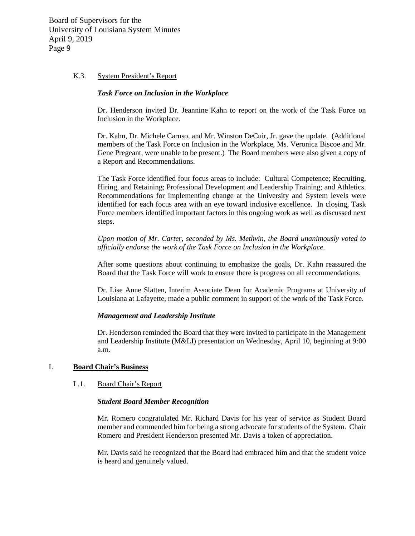#### K.3. System President's Report

### *Task Force on Inclusion in the Workplace*

Dr. Henderson invited Dr. Jeannine Kahn to report on the work of the Task Force on Inclusion in the Workplace.

Dr. Kahn, Dr. Michele Caruso, and Mr. Winston DeCuir, Jr. gave the update. (Additional members of the Task Force on Inclusion in the Workplace, Ms. Veronica Biscoe and Mr. Gene Pregeant, were unable to be present.) The Board members were also given a copy of a Report and Recommendations.

The Task Force identified four focus areas to include: Cultural Competence; Recruiting, Hiring, and Retaining; Professional Development and Leadership Training; and Athletics. Recommendations for implementing change at the University and System levels were identified for each focus area with an eye toward inclusive excellence. In closing, Task Force members identified important factors in this ongoing work as well as discussed next steps.

*Upon motion of Mr. Carter, seconded by Ms. Methvin, the Board unanimously voted to officially endorse the work of the Task Force on Inclusion in the Workplace.* 

After some questions about continuing to emphasize the goals, Dr. Kahn reassured the Board that the Task Force will work to ensure there is progress on all recommendations.

Dr. Lise Anne Slatten, Interim Associate Dean for Academic Programs at University of Louisiana at Lafayette, made a public comment in support of the work of the Task Force.

#### *Management and Leadership Institute*

Dr. Henderson reminded the Board that they were invited to participate in the Management and Leadership Institute (M&LI) presentation on Wednesday, April 10, beginning at 9:00 a.m.

#### L **Board Chair's Business**

### L.1. Board Chair's Report

#### *Student Board Member Recognition*

Mr. Romero congratulated Mr. Richard Davis for his year of service as Student Board member and commended him for being a strong advocate for students of the System. Chair Romero and President Henderson presented Mr. Davis a token of appreciation.

Mr. Davis said he recognized that the Board had embraced him and that the student voice is heard and genuinely valued.